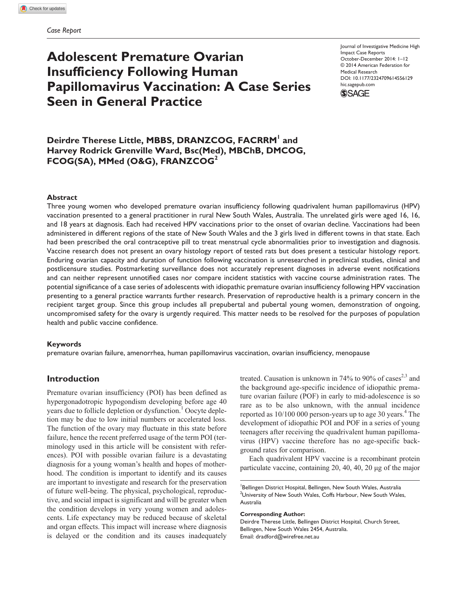# **Adolescent Premature Ovarian Insufficiency Following Human Papillomavirus Vaccination: A Case Series Seen in General Practice**

Journal of Investigative Medicine High Impact Case Reports October-December 2014: 1–12 © 2014 American Federation for Medical Research DOI: 10.1177/2324709614556129 hic.sagepub.com



Deirdre Therese Little, MBBS, DRANZCOG, FACRRM<sup>1</sup> and **Harvey Rodrick Grenville Ward, Bsc(Med), MBChB, DMCOG, FCOG(SA), MMed (O&G), FRANZCOG2**

## **Abstract**

Three young women who developed premature ovarian insufficiency following quadrivalent human papillomavirus (HPV) vaccination presented to a general practitioner in rural New South Wales, Australia. The unrelated girls were aged 16, 16, and 18 years at diagnosis. Each had received HPV vaccinations prior to the onset of ovarian decline. Vaccinations had been administered in different regions of the state of New South Wales and the 3 girls lived in different towns in that state. Each had been prescribed the oral contraceptive pill to treat menstrual cycle abnormalities prior to investigation and diagnosis. Vaccine research does not present an ovary histology report of tested rats but does present a testicular histology report. Enduring ovarian capacity and duration of function following vaccination is unresearched in preclinical studies, clinical and postlicensure studies. Postmarketing surveillance does not accurately represent diagnoses in adverse event notifications and can neither represent unnotified cases nor compare incident statistics with vaccine course administration rates. The potential significance of a case series of adolescents with idiopathic premature ovarian insufficiency following HPV vaccination presenting to a general practice warrants further research. Preservation of reproductive health is a primary concern in the recipient target group. Since this group includes all prepubertal and pubertal young women, demonstration of ongoing, uncompromised safety for the ovary is urgently required. This matter needs to be resolved for the purposes of population health and public vaccine confidence.

#### **Keywords**

premature ovarian failure, amenorrhea, human papillomavirus vaccination, ovarian insufficiency, menopause

## **Introduction**

Premature ovarian insufficiency (POI) has been defined as hypergonadotropic hypogondism developing before age 40 years due to follicle depletion or dysfunction.<sup>1</sup> Oocyte depletion may be due to low initial numbers or accelerated loss. The function of the ovary may fluctuate in this state before failure, hence the recent preferred usage of the term POI (terminology used in this article will be consistent with references). POI with possible ovarian failure is a devastating diagnosis for a young woman's health and hopes of motherhood. The condition is important to identify and its causes are important to investigate and research for the preservation of future well-being. The physical, psychological, reproductive, and social impact is significant and will be greater when the condition develops in very young women and adolescents. Life expectancy may be reduced because of skeletal and organ effects. This impact will increase where diagnosis is delayed or the condition and its causes inadequately treated. Causation is unknown in 74% to 90% of cases<sup>2,3</sup> and the background age-specific incidence of idiopathic premature ovarian failure (POF) in early to mid-adolescence is so rare as to be also unknown, with the annual incidence reported as 10/100 000 person-years up to age 30 years.<sup>4</sup> The development of idiopathic POI and POF in a series of young teenagers after receiving the quadrivalent human papillomavirus (HPV) vaccine therefore has no age-specific background rates for comparison.

Each quadrivalent HPV vaccine is a recombinant protein particulate vaccine, containing 20, 40, 40, 20 µg of the major

#### **Corresponding Author:**

<sup>&</sup>lt;sup>1</sup>Bellingen District Hospital, Bellingen, New South Wales, Australia <sup>2</sup>University of New South Wales, Coffs Harbour, New South Wales, Australia

Deirdre Therese Little, Bellingen District Hospital, Church Street, Bellingen, New South Wales 2454, Australia. Email: [dradford@wirefree.net.au](mailto:dradford@wirefree.net.au)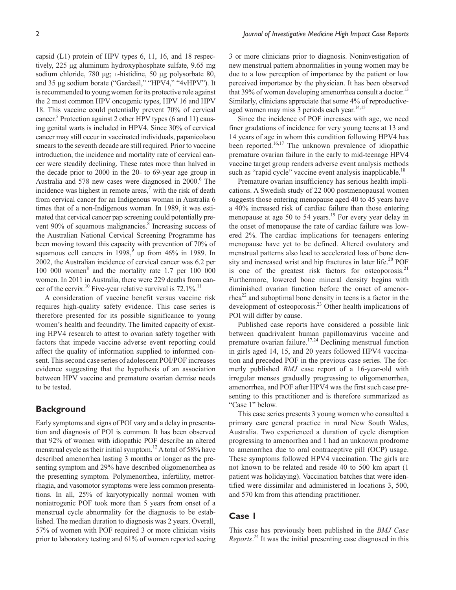capsid (L1) protein of HPV types 6, 11, 16, and 18 respectively, 225 µg aluminum hydroxyphosphate sulfate, 9.65 mg sodium chloride, 780 μg; *L*-histidine, 50 μg polysorbate 80, and 35 µg sodium borate ("Gardasil," "HPV4," "4vHPV"). It is recommended to young women for its protective role against the 2 most common HPV oncogenic types, HPV 16 and HPV 18. This vaccine could potentially prevent 70% of cervical cancer.<sup>5</sup> Protection against 2 other HPV types (6 and 11) causing genital warts is included in HPV4. Since 30% of cervical cancer may still occur in vaccinated individuals, papanicolaou smears to the seventh decade are still required. Prior to vaccine introduction, the incidence and mortality rate of cervical cancer were steadily declining. These rates more than halved in the decade prior to 2000 in the 20- to 69-year age group in Australia and 578 new cases were diagnosed in 2000.<sup>6</sup> The incidence was highest in remote areas, $\frac{7}{1}$  with the risk of death from cervical cancer for an Indigenous woman in Australia 6 times that of a non-Indigenous woman. In 1989, it was estimated that cervical cancer pap screening could potentially prevent 90% of squamous malignancies.<sup>8</sup> Increasing success of the Australian National Cervical Screening Programme has been moving toward this capacity with prevention of 70% of squamous cell cancers in  $1998$ , up from  $46\%$  in 1989. In 2002, the Australian incidence of cervical cancer was 6.2 per 100 000 women<sup>8</sup> and the mortality rate 1.7 per 100 000 women. In 2011 in Australia, there were 229 deaths from cancer of the cervix.<sup>10</sup> Five-year relative survival is  $72.1\%$ <sup>11</sup>

A consideration of vaccine benefit versus vaccine risk requires high-quality safety evidence. This case series is therefore presented for its possible significance to young women's health and fecundity. The limited capacity of existing HPV4 research to attest to ovarian safety together with factors that impede vaccine adverse event reporting could affect the quality of information supplied to informed consent. This second case series of adolescent POI/POF increases evidence suggesting that the hypothesis of an association between HPV vaccine and premature ovarian demise needs to be tested.

# **Background**

Early symptoms and signs of POI vary and a delay in presentation and diagnosis of POI is common. It has been observed that 92% of women with idiopathic POF describe an altered menstrual cycle as their initial symptom.<sup>12</sup> A total of 58% have described amenorrhea lasting 3 months or longer as the presenting symptom and 29% have described oligomenorrhea as the presenting symptom. Polymenorrhea, infertility, metrorrhagia, and vasomotor symptoms were less common presentations. In all, 25% of karyotypically normal women with noniatrogenic POF took more than 5 years from onset of a menstrual cycle abnormality for the diagnosis to be established. The median duration to diagnosis was 2 years. Overall, 57% of women with POF required 3 or more clinician visits prior to laboratory testing and 61% of women reported seeing 3 or more clinicians prior to diagnosis. Noninvestigation of new menstrual pattern abnormalities in young women may be due to a low perception of importance by the patient or low perceived importance by the physician. It has been observed that 39% of women developing amenorrhea consult a doctor.<sup>13</sup> Similarly, clinicians appreciate that some 4% of reproductiveaged women may miss  $3$  periods each year.<sup>14,15</sup>

Since the incidence of POF increases with age, we need finer gradations of incidence for very young teens at 13 and 14 years of age in whom this condition following HPV4 has been reported.<sup>16,17</sup> The unknown prevalence of idiopathic premature ovarian failure in the early to mid-teenage HPV4 vaccine target group renders adverse event analysis methods such as "rapid cycle" vaccine event analysis inapplicable.<sup>18</sup>

Premature ovarian insufficiency has serious health implications. A Swedish study of 22 000 postmenopausal women suggests those entering menopause aged 40 to 45 years have a 40% increased risk of cardiac failure than those entering menopause at age 50 to 54 years.<sup>19</sup> For every year delay in the onset of menopause the rate of cardiac failure was lowered 2%. The cardiac implications for teenagers entering menopause have yet to be defined. Altered ovulatory and menstrual patterns also lead to accelerated loss of bone density and increased wrist and hip fractures in later life.<sup>20</sup> POF is one of the greatest risk factors for osteoporosis. $21$ Furthermore, lowered bone mineral density begins with diminished ovarian function before the onset of amenor $r$ hea<sup>22</sup> and suboptimal bone density in teens is a factor in the development of osteoporosis.<sup>23</sup> Other health implications of POI will differ by cause.

Published case reports have considered a possible link between quadrivalent human papillomavirus vaccine and premature ovarian failure.17,24 Declining menstrual function in girls aged 14, 15, and 20 years followed HPV4 vaccination and preceded POF in the previous case series. The formerly published *BMJ* case report of a 16-year-old with irregular menses gradually progressing to oligomenorrhea, amenorrhea, and POF after HPV4 was the first such case presenting to this practitioner and is therefore summarized as "Case 1" below.

This case series presents 3 young women who consulted a primary care general practice in rural New South Wales, Australia. Two experienced a duration of cycle disruption progressing to amenorrhea and 1 had an unknown prodrome to amenorrhea due to oral contraceptive pill (OCP) usage. These symptoms followed HPV4 vaccination. The girls are not known to be related and reside 40 to 500 km apart (1 patient was holidaying). Vaccination batches that were identified were dissimilar and administered in locations 3, 500, and 570 km from this attending practitioner.

## **Case 1**

This case has previously been published in the *BMJ Case Reports*. 24 It was the initial presenting case diagnosed in this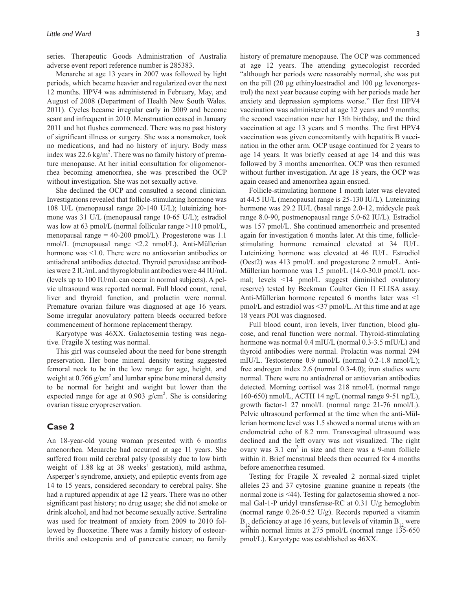series. Therapeutic Goods Administration of Australia adverse event report reference number is 285383.

Menarche at age 13 years in 2007 was followed by light periods, which became heavier and regularized over the next 12 months. HPV4 was administered in February, May, and August of 2008 (Department of Health New South Wales. 2011). Cycles became irregular early in 2009 and become scant and infrequent in 2010. Menstruation ceased in January 2011 and hot flushes commenced. There was no past history of significant illness or surgery. She was a nonsmoker, took no medications, and had no history of injury. Body mass index was  $22.6 \text{ kg/m}^2$ . There was no family history of premature menopause. At her initial consultation for oligomenorrhea becoming amenorrhea, she was prescribed the OCP without investigation. She was not sexually active.

She declined the OCP and consulted a second clinician. Investigations revealed that follicle-stimulating hormone was 108 U/L (menopausal range 20-140 U/L); luteinizing hormone was 31 U/L (menopausal range 10-65 U/L); estradiol was low at 63 pmol/L (normal follicular range >110 pmol/L, menopausal range =  $40-200$  pmol/L). Progesterone was 1.1 nmol/L (menopausal range <2.2 nmol/L). Anti-Müllerian hormone was <1.0. There were no antiovarian antibodies or antiadrenal antibodies detected. Thyroid peroxidase antibodies were 2 IU/mL and thyroglobulin antibodies were 44 IU/mL (levels up to 100 IU/mL can occur in normal subjects). A pelvic ultrasound was reported normal. Full blood count, renal, liver and thyroid function, and prolactin were normal. Premature ovarian failure was diagnosed at age 16 years. Some irregular anovulatory pattern bleeds occurred before commencement of hormone replacement therapy.

Karyotype was 46XX. Galactosemia testing was negative. Fragile X testing was normal.

This girl was counseled about the need for bone strength preservation. Her bone mineral density testing suggested femoral neck to be in the low range for age, height, and weight at  $0.766$  g/cm<sup>2</sup> and lumbar spine bone mineral density to be normal for height and weight but lower than the expected range for age at  $0.903$  g/cm<sup>2</sup>. She is considering ovarian tissue cryopreservation.

## **Case 2**

An 18-year-old young woman presented with 6 months amenorrhea. Menarche had occurred at age 11 years. She suffered from mild cerebral palsy (possibly due to low birth weight of 1.88 kg at 38 weeks' gestation), mild asthma, Asperger's syndrome, anxiety, and epileptic events from age 14 to 15 years, considered secondary to cerebral palsy. She had a ruptured appendix at age 12 years. There was no other significant past history; no drug usage; she did not smoke or drink alcohol, and had not become sexually active. Sertraline was used for treatment of anxiety from 2009 to 2010 followed by fluoxetine. There was a family history of osteoarthritis and osteopenia and of pancreatic cancer; no family

history of premature menopause. The OCP was commenced at age 12 years. The attending gynecologist recorded "although her periods were reasonably normal, she was put on the pill (20 µg ethinyloestradiol and 100 µg levonorgestrol) the next year because coping with her periods made her anxiety and depression symptoms worse." Her first HPV4 vaccination was administered at age 12 years and 9 months; the second vaccination near her 13th birthday, and the third vaccination at age 13 years and 5 months. The first HPV4 vaccination was given concomitantly with hepatitis B vaccination in the other arm. OCP usage continued for 2 years to age 14 years. It was briefly ceased at age 14 and this was followed by 3 months amenorrhea. OCP was then resumed without further investigation. At age 18 years, the OCP was again ceased and amenorrhea again ensued.

Follicle-stimulating hormone 1 month later was elevated at 44.5 IU/L (menopausal range is 25-130 IU/L). Luteinizing hormone was 29.2 IU/L (basal range 2.0-12, midcycle peak range 8.0-90, postmenopausal range 5.0-62 IU/L). Estradiol was 157 pmol/L. She continued amenorrheic and presented again for investigation 6 months later. At this time, folliclestimulating hormone remained elevated at 34 IU/L. Luteinizing hormone was elevated at 46 IU/L. Estrodiol (Oest2) was 413 pmol/L and progesterone 2 nmol/L. Anti-Müllerian hormone was 1.5 pmol/L (14.0-30.0 pmol/L normal; levels <14 pmol/L suggest diminished ovulatory reserve) tested by Beckman Coulter Gen II ELISA assay. Anti-Müllerian hormone repeated 6 months later was <1 pmol/L and estradiol was <37 pmol/L. At this time and at age 18 years POI was diagnosed.

Full blood count, iron levels, liver function, blood glucose, and renal function were normal. Thyroid-stimulating hormone was normal 0.4 mIU/L (normal 0.3-3.5 mIU/L) and thyroid antibodies were normal. Prolactin was normal 294 mIU/L. Testosterone 0.9 nmol/L (normal 0.2-1.8 nmol/L); free androgen index 2.6 (normal 0.3-4.0); iron studies were normal. There were no antiadrenal or antiovarian antibodies detected. Morning cortisol was 218 nmol/L (normal range 160-650) nmol/L, ACTH 14 ng/L (normal range 9-51 ng/L), growth factor-1 27 nmol/L (normal range 21-76 nmol/L). Pelvic ultrasound performed at the time when the anti-Müllerian hormone level was 1.5 showed a normal uterus with an endometrial echo of 8.2 mm. Transvaginal ultrasound was declined and the left ovary was not visualized. The right ovary was  $3.1 \text{ cm}^3$  in size and there was a 9-mm follicle within it. Brief menstrual bleeds then occurred for 4 months before amenorrhea resumed.

Testing for Fragile X revealed 2 normal-sized triplet alleles 23 and 37 cytosine–guanine–guanine n repeats (the normal zone is <44). Testing for galactosemia showed a normal Gal-1-P uridyl transferase-RC at 0.31 U/g hemoglobin (normal range 0.26-0.52 U/g). Records reported a vitamin  $B<sub>12</sub>$  deficiency at age 16 years, but levels of vitamin  $B<sub>12</sub>$  were within normal limits at 275 pmol/L (normal range 135-650) pmol/L). Karyotype was established as 46XX.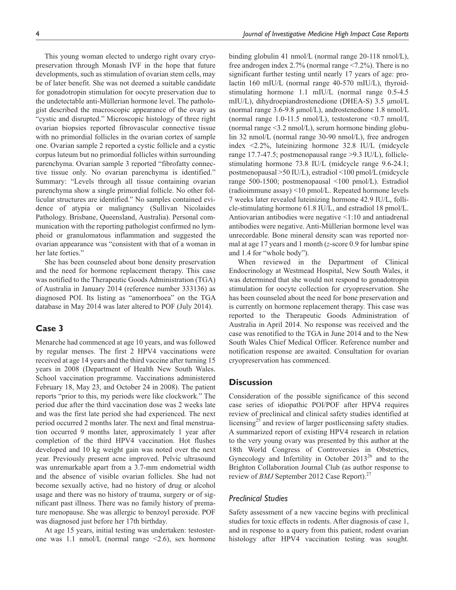This young woman elected to undergo right ovary cryopreservation through Monash IVF in the hope that future developments, such as stimulation of ovarian stem cells, may be of later benefit. She was not deemed a suitable candidate for gonadotropin stimulation for oocyte preservation due to the undetectable anti-Müllerian hormone level. The pathologist described the macroscopic appearance of the ovary as "cystic and disrupted." Microscopic histology of three right ovarian biopsies reported fibrovascular connective tissue with no primordial follicles in the ovarian cortex of sample one. Ovarian sample 2 reported a cystic follicle and a cystic corpus luteum but no primordial follicles within surrounding parenchyma. Ovarian sample 3 reported "fibrofatty connective tissue only. No ovarian parenchyma is identified." Summary: "Levels through all tissue containing ovarian parenchyma show a single primordial follicle. No other follicular structures are identified." No samples contained evidence of atypia or malignancy (Sullivan Nicolaides Pathology. Brisbane, Queensland, Australia). Personal communication with the reporting pathologist confirmed no lymphoid or granulomatous inflammation and suggested the ovarian appearance was "consistent with that of a woman in her late forties."

She has been counseled about bone density preservation and the need for hormone replacement therapy. This case was notified to the Therapeutic Goods Administration (TGA) of Australia in January 2014 (reference number 333136) as diagnosed POI. Its listing as "amenorrhoea" on the TGA database in May 2014 was later altered to POF (July 2014).

## **Case 3**

Menarche had commenced at age 10 years, and was followed by regular menses. The first 2 HPV4 vaccinations were received at age 14 years and the third vaccine after turning 15 years in 2008 (Department of Health New South Wales. School vaccination programme. Vaccinations administered February 18, May 23, and October 24 in 2008). The patient reports "prior to this, my periods were like clockwork." The period due after the third vaccination dose was 2 weeks late and was the first late period she had experienced. The next period occurred 2 months later. The next and final menstruation occurred 9 months later, approximately 1 year after completion of the third HPV4 vaccination. Hot flushes developed and 10 kg weight gain was noted over the next year. Previously present acne improved. Pelvic ultrasound was unremarkable apart from a 3.7-mm endometrial width and the absence of visible ovarian follicles. She had not become sexually active, had no history of drug or alcohol usage and there was no history of trauma, surgery or of significant past illness. There was no family history of premature menopause. She was allergic to benzoyl peroxide. POF was diagnosed just before her 17th birthday.

At age 15 years, initial testing was undertaken: testosterone was 1.1 nmol/L (normal range  $\leq$ 2.6), sex hormone binding globulin 41 nmol/L (normal range 20-118 nmol/L), free androgen index 2.7% (normal range <7.2%). There is no significant further testing until nearly 17 years of age: prolactin 160 mIU/L (normal range 40-570 mIU/L), thyroidstimulating hormone 1.1 mIU/L (normal range 0.5-4.5 mIU/L), dihydroepiandrostenedione (DHEA-S) 3.5 µmol/L (normal range  $3.6$ -9.8  $\mu$ mol/L), androstenedione 1.8 nmol/L (normal range 1.0-11.5 nmol/L), testosterone <0.7 nmol/L (normal range  $\leq$ 3.2 nmol/L), serum hormone binding globulin 32 nmol/L (normal range 30-90 nmol/L), free androgen index <2.2%, luteinizing hormone 32.8 IU/L (midcycle range 17.7-47.5; postmenopausal range >9.3 IU/L), folliclestimulating hormone 73.8 IU/L (midcycle range 9.6-24.1; postmenopausal >50 IU/L), estradiol <100 pmol/L (midcycle range 500-1500; postmenopausal <100 pmol/L). Estradiol (radioimmune assay) <10 pmol/L. Repeated hormone levels 7 weeks later revealed luteinizing hormone 42.9 IU/L, follicle-stimulating hormone 61.8 IU/L, and estradiol 18 pmol/L. Antiovarian antibodies were negative <1:10 and antiadrenal antibodies were negative. Anti-Müllerian hormone level was unrecordable. Bone mineral density scan was reported normal at age 17 years and 1 month (*z*-score 0.9 for lumbar spine and 1.4 for "whole body").

When reviewed in the Department of Clinical Endocrinology at Westmead Hospital, New South Wales, it was determined that she would not respond to gonadotropin stimulation for oocyte collection for cryopreservation. She has been counseled about the need for bone preservation and is currently on hormone replacement therapy. This case was reported to the Therapeutic Goods Administration of Australia in April 2014. No response was received and the case was renotified to the TGA in June 2014 and to the New South Wales Chief Medical Officer. Reference number and notification response are awaited. Consultation for ovarian cryopreservation has commenced.

## **Discussion**

Consideration of the possible significance of this second case series of idiopathic POI/POF after HPV4 requires review of preclinical and clinical safety studies identified at licensing<sup>25</sup> and review of larger postlicensing safety studies. A summarized report of existing HPV4 research in relation to the very young ovary was presented by this author at the 18th World Congress of Controversies in Obstetrics, Gynecology and Infertility in October  $2013^{26}$  and to the Brighton Collaboration Journal Club (as author response to review of *BMJ* September 2012 Case Report).<sup>27</sup>

#### *Preclinical Studies*

Safety assessment of a new vaccine begins with preclinical studies for toxic effects in rodents. After diagnosis of case 1, and in response to a query from this patient, rodent ovarian histology after HPV4 vaccination testing was sought.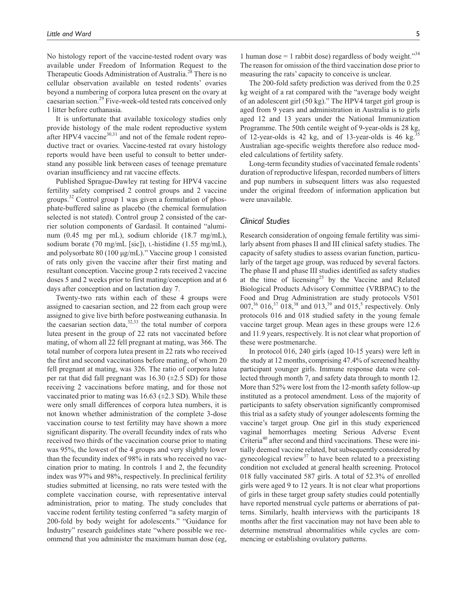No histology report of the vaccine-tested rodent ovary was available under Freedom of Information Request to the Therapeutic Goods Administration of Australia.<sup>28</sup> There is no cellular observation available on tested rodents' ovaries beyond a numbering of corpora lutea present on the ovary at caesarian section.<sup>29</sup> Five-week-old tested rats conceived only 1 litter before euthanasia.

It is unfortunate that available toxicology studies only provide histology of the male rodent reproductive system after HPV4 vaccine $30,31$  and not of the female rodent reproductive tract or ovaries. Vaccine-tested rat ovary histology reports would have been useful to consult to better understand any possible link between cases of teenage premature ovarian insufficiency and rat vaccine effects.

Published Sprague-Dawley rat testing for HPV4 vaccine fertility safety comprised 2 control groups and 2 vaccine groups.<sup>32</sup> Control group 1 was given a formulation of phosphate-buffered saline as placebo (the chemical formulation selected is not stated). Control group 2 consisted of the carrier solution components of Gardasil. It contained "aluminum (0.45 mg per mL), sodium chloride (18.7 mg/mL), sodium borate (70 mg/mL [sic]), L-histidine (1.55 mg/mL), and polysorbate 80 (100 µg/mL)." Vaccine group 1 consisted of rats only given the vaccine after their first mating and resultant conception. Vaccine group 2 rats received 2 vaccine doses 5 and 2 weeks prior to first mating/conception and at 6 days after conception and on lactation day 7.

Twenty-two rats within each of these 4 groups were assigned to caesarian section, and 22 from each group were assigned to give live birth before postweaning euthanasia. In the caesarian section data, $32,33$  the total number of corpora lutea present in the group of 22 rats not vaccinated before mating, of whom all 22 fell pregnant at mating, was 366. The total number of corpora lutea present in 22 rats who received the first and second vaccinations before mating, of whom 20 fell pregnant at mating, was 326. The ratio of corpora lutea per rat that did fall pregnant was  $16.30$  ( $\pm 2.5$  SD) for those receiving 2 vaccinations before mating, and for those not vaccinated prior to mating was  $16.63 \ (\pm 2.3 \text{ SD})$ . While these were only small differences of corpora lutea numbers, it is not known whether administration of the complete 3-dose vaccination course to test fertility may have shown a more significant disparity. The overall fecundity index of rats who received two thirds of the vaccination course prior to mating was 95%, the lowest of the 4 groups and very slightly lower than the fecundity index of 98% in rats who received no vaccination prior to mating. In controls 1 and 2, the fecundity index was 97% and 98%, respectively. In preclinical fertility studies submitted at licensing, no rats were tested with the complete vaccination course, with representative interval administration, prior to mating. The study concludes that vaccine rodent fertility testing conferred "a safety margin of 200-fold by body weight for adolescents." "Guidance for Industry" research guidelines state "where possible we recommend that you administer the maximum human dose (eg,

1 human dose = 1 rabbit dose) regardless of body weight."<sup>34</sup> The reason for omission of the third vaccination dose prior to measuring the rats' capacity to conceive is unclear.

The 200-fold safety prediction was derived from the 0.25 kg weight of a rat compared with the "average body weight of an adolescent girl (50 kg)." The HPV4 target girl group is aged from 9 years and administration in Australia is to girls aged 12 and 13 years under the National Immunization Programme. The 50th centile weight of 9-year-olds is 28 kg, of 12-year-olds is 42 kg, and of 13-year-olds is 46 kg.<sup>35</sup> Australian age-specific weights therefore also reduce modeled calculations of fertility safety.

Long-term fecundity studies of vaccinated female rodents' duration of reproductive lifespan, recorded numbers of litters and pup numbers in subsequent litters was also requested under the original freedom of information application but were unavailable.

## *Clinical Studies*

Research consideration of ongoing female fertility was similarly absent from phases II and III clinical safety studies. The capacity of safety studies to assess ovarian function, particularly of the target age group, was reduced by several factors. The phase II and phase III studies identified as safety studies at the time of licensing<sup>25</sup> by the Vaccine and Related Biological Products Advisory Committee (VRBPAC) to the Food and Drug Administration are study protocols V501 007,<sup>36</sup> 016,<sup>37</sup> 018,<sup>38</sup> and 013,<sup>39</sup> and 015,<sup>5</sup> respectively. Only protocols 016 and 018 studied safety in the young female vaccine target group. Mean ages in these groups were 12.6 and 11.9 years, respectively. It is not clear what proportion of these were postmenarche.

In protocol 016, 240 girls (aged 10-15 years) were left in the study at 12 months, comprising 47.4% of screened healthy participant younger girls. Immune response data were collected through month 7, and safety data through to month 12. More than 52% were lost from the 12-month safety follow-up instituted as a protocol amendment. Loss of the majority of participants to safety observation significantly compromised this trial as a safety study of younger adolescents forming the vaccine's target group. One girl in this study experienced vaginal hemorrhages meeting Serious Adverse Event Criteria<sup>40</sup> after second and third vaccinations. These were initially deemed vaccine related, but subsequently considered by gynecological review<sup>37</sup> to have been related to a preexisting condition not excluded at general health screening. Protocol 018 fully vaccinated 587 girls. A total of 52.3% of enrolled girls were aged 9 to 12 years. It is not clear what proportions of girls in these target group safety studies could potentially have reported menstrual cycle patterns or aberrations of patterns. Similarly, health interviews with the participants 18 months after the first vaccination may not have been able to determine menstrual abnormalities while cycles are commencing or establishing ovulatory patterns.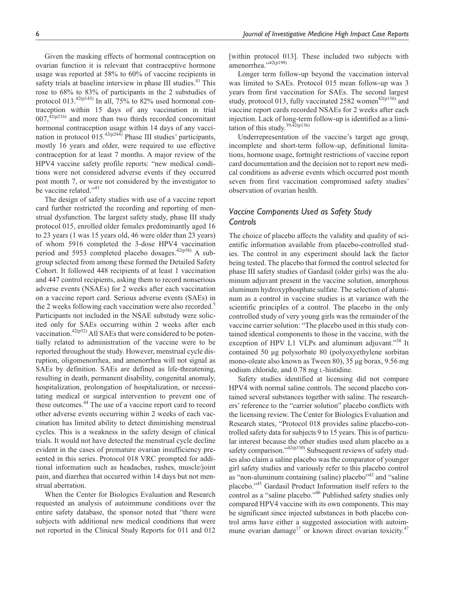Given the masking effects of hormonal contraception on ovarian function it is relevant that contraceptive hormone usage was reported at 58% to 60% of vaccine recipients in safety trials at baseline interview in phase III studies.<sup>41</sup> This rose to 68% to 83% of participants in the 2 substudies of protocol 013.<sup>42(p143)</sup> In all, 75% to 82% used hormonal contraception within 15 days of any vaccination in trial  $007, \frac{\bar{42(p216)}}{P}$  and more than two thirds recorded concomitant hormonal contraception usage within 14 days of any vaccination in protocol 015.<sup>42(p244)</sup> Phase III studies' participants, mostly 16 years and older, were required to use effective contraception for at least 7 months. A major review of the HPV4 vaccine safety profile reports: "new medical conditions were not considered adverse events if they occurred post month 7, or were not considered by the investigator to be vaccine related."<sup>43</sup>

The design of safety studies with use of a vaccine report card further restricted the recording and reporting of menstrual dysfunction. The largest safety study, phase III study protocol 015, enrolled older females predominantly aged 16 to 23 years (1 was 15 years old, 46 were older than 23 years) of whom 5916 completed the 3-dose HPV4 vaccination period and 5953 completed placebo dosages.<sup>42(p58)</sup> A subgroup selected from among these formed the Detailed Safety Cohort. It followed 448 recipients of at least 1 vaccination and 447 control recipients, asking them to record nonserious adverse events (NSAEs) for 2 weeks after each vaccination on a vaccine report card. Serious adverse events (SAEs) in the 2 weeks following each vaccination were also recorded.<sup>5</sup> Participants not included in the NSAE substudy were solicited only for SAEs occurring within 2 weeks after each vaccination.<sup> $42(p52)$ </sup> All SAEs that were considered to be potentially related to administration of the vaccine were to be reported throughout the study. However, menstrual cycle disruption, oligomenorrhea, and amenorrhea will not signal as SAEs by definition. SAEs are defined as life-threatening, resulting in death, permanent disability, congenital anomaly, hospitalization, prolongation of hospitalization, or necessitating medical or surgical intervention to prevent one of these outcomes.44 The use of a vaccine report card to record other adverse events occurring within 2 weeks of each vaccination has limited ability to detect diminishing menstrual cycles. This is a weakness in the safety design of clinical trials. It would not have detected the menstrual cycle decline evident in the cases of premature ovarian insufficiency presented in this series. Protocol 018 VRC prompted for additional information such as headaches, rashes, muscle/joint pain, and diarrhea that occurred within 14 days but not menstrual aberration.

When the Center for Biologics Evaluation and Research requested an analysis of autoimmune conditions over the entire safety database, the sponsor noted that "there were subjects with additional new medical conditions that were not reported in the Clinical Study Reports for 011 and 012 [within protocol 013]. These included two subjects with amenorrhea."42(p198)

Longer term follow-up beyond the vaccination interval was limited to SAEs. Protocol 015 mean follow-up was 3 years from first vaccination for SAEs. The second largest study, protocol 013, fully vaccinated 2582 women<sup>42(p136)</sup> and vaccine report cards recorded NSAEs for 2 weeks after each injection. Lack of long-term follow-up is identified as a limitation of this study.<sup>39,42</sup>(p136)</sup>

Underrepresentation of the vaccine's target age group, incomplete and short-term follow-up, definitional limitations, hormone usage, fortnight restrictions of vaccine report card documentation and the decision not to report new medical conditions as adverse events which occurred post month seven from first vaccination compromised safety studies' observation of ovarian health.

# *Vaccine Components Used as Safety Study Controls*

The choice of placebo affects the validity and quality of scientific information available from placebo-controlled studies. The control in any experiment should lack the factor being tested. The placebo that formed the control selected for phase III safety studies of Gardasil (older girls) was the aluminum adjuvant present in the vaccine solution, amorphous aluminum hydroxyphosphate sulfate. The selection of aluminum as a control in vaccine studies is at variance with the scientific principles of a control. The placebo in the only controlled study of very young girls was the remainder of the vaccine carrier solution: "The placebo used in this study contained identical components to those in the vaccine, with the exception of HPV L1 VLPs and aluminum adjuvant."<sup>38</sup> It contained 50 µg polysorbate 80 (polyoxyethylene sorbitan mono-oleate also known as Tween 80), 35 µg borax, 9.56 mg sodium chloride, and 0.78 mg L-histidine.

Safety studies identified at licensing did not compare HPV4 with normal saline controls. The second placebo contained several substances together with saline. The researchers' reference to the "carrier solution" placebo conflicts with the licensing review. The Center for Biologics Evaluation and Research states, "Protocol 018 provides saline placebo-controlled safety data for subjects 9 to 15 years. This is of particular interest because the other studies used alum placebo as a safety comparison."<sup>42(p330)</sup> Subsequent reviews of safety studies also claim a saline placebo was the comparator of younger girl safety studies and variously refer to this placebo control as "non-aluminum containing (saline) placebo"<sup>43</sup> and "saline" placebo."45 Gardasil Product Information itself refers to the control as a "saline placebo."<sup>46</sup> Published safety studies only compared HPV4 vaccine with its own components. This may be significant since injected substances in both placebo control arms have either a suggested association with autoimmune ovarian damage<sup>17</sup> or known direct ovarian toxicity.<sup>47</sup>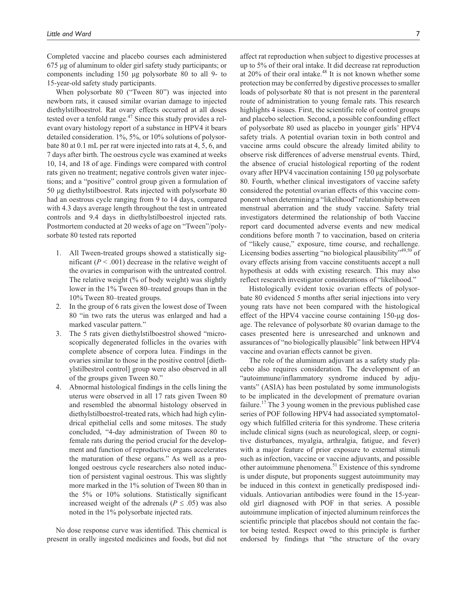Completed vaccine and placebo courses each administered 675 µg of aluminum to older girl safety study participants; or components including 150 µg polysorbate 80 to all 9- to 15-year-old safety study participants.

When polysorbate 80 ("Tween 80") was injected into newborn rats, it caused similar ovarian damage to injected diethylstilboestrol. Rat ovary effects occurred at all doses tested over a tenfold range. $47$  Since this study provides a relevant ovary histology report of a substance in HPV4 it bears detailed consideration. 1%, 5%, or 10% solutions of polysorbate 80 at 0.1 mL per rat were injected into rats at 4, 5, 6, and 7 days after birth. The oestrous cycle was examined at weeks 10, 14, and 18 of age. Findings were compared with control rats given no treatment; negative controls given water injections; and a "positive" control group given a formulation of 50 µg diethylstilboestrol. Rats injected with polysorbate 80 had an oestrous cycle ranging from 9 to 14 days, compared with 4.3 days average length throughout the test in untreated controls and 9.4 days in diethylstilboestrol injected rats. Postmortem conducted at 20 weeks of age on "Tween"/polysorbate 80 tested rats reported

- 1. All Tween-treated groups showed a statistically significant  $(P < .001)$  decrease in the relative weight of the ovaries in comparison with the untreated control. The relative weight (% of body weight) was slightly lower in the 1% Tween 80–treated groups than in the 10% Tween 80–treated groups.
- 2. In the group of 6 rats given the lowest dose of Tween 80 "in two rats the uterus was enlarged and had a marked vascular pattern."
- 3. The 5 rats given diethylstilboestrol showed "microscopically degenerated follicles in the ovaries with complete absence of corpora lutea. Findings in the ovaries similar to those in the positive control [diethylstilbestrol control] group were also observed in all of the groups given Tween 80."
- 4. Abnormal histological findings in the cells lining the uterus were observed in all 17 rats given Tween 80 and resembled the abnormal histology observed in diethylstilboestrol-treated rats, which had high cylindrical epithelial cells and some mitoses. The study concluded, "4-day administration of Tween 80 to female rats during the period crucial for the development and function of reproductive organs accelerates the maturation of these organs." As well as a prolonged oestrous cycle researchers also noted induction of persistent vaginal oestrous. This was slightly more marked in the 1% solution of Tween 80 than in the 5% or 10% solutions. Statistically significant increased weight of the adrenals ( $P \leq .05$ ) was also noted in the 1% polysorbate injected rats.

No dose response curve was identified. This chemical is present in orally ingested medicines and foods, but did not

affect rat reproduction when subject to digestive processes at up to 5% of their oral intake. It did decrease rat reproduction at 20% of their oral intake.<sup>48</sup> It is not known whether some protection may be conferred by digestive processes to smaller loads of polysorbate 80 that is not present in the parenteral route of administration to young female rats. This research highlights 4 issues. First, the scientific role of control groups and placebo selection. Second, a possible confounding effect of polysorbate 80 used as placebo in younger girls' HPV4 safety trials. A potential ovarian toxin in both control and vaccine arms could obscure the already limited ability to observe risk differences of adverse menstrual events. Third, the absence of crucial histological reporting of the rodent ovary after HPV4 vaccination containing 150 µg polysorbate 80. Fourth, whether clinical investigators of vaccine safety considered the potential ovarian effects of this vaccine component when determining a "likelihood" relationship between menstrual aberration and the study vaccine. Safety trial investigators determined the relationship of both Vaccine report card documented adverse events and new medical conditions before month 7 to vaccination, based on criteria of "likely cause," exposure, time course, and rechallenge. Licensing bodies asserting "no biological plausibility"<sup>49,50</sup> of ovary effects arising from vaccine constituents accept a null hypothesis at odds with existing research. This may also reflect research investigator considerations of "likelihood."

Histologically evident toxic ovarian effects of polysorbate 80 evidenced 5 months after serial injections into very young rats have not been compared with the histological effect of the HPV4 vaccine course containing 150-µg dosage. The relevance of polysorbate 80 ovarian damage to the cases presented here is unresearched and unknown and assurances of "no biologically plausible" link between HPV4 vaccine and ovarian effects cannot be given.

The role of the aluminum adjuvant as a safety study placebo also requires consideration. The development of an "autoimmune/inflammatory syndrome induced by adjuvants" (ASIA) has been postulated by some immunologists to be implicated in the development of premature ovarian failure.<sup>17</sup> The 3 young women in the previous published case series of POF following HPV4 had associated symptomatology which fulfilled criteria for this syndrome. These criteria include clinical signs (such as neurological, sleep, or cognitive disturbances, myalgia, arthralgia, fatigue, and fever) with a major feature of prior exposure to external stimuli such as infection, vaccine or vaccine adjuvants, and possible other autoimmune phenomena.<sup>51</sup> Existence of this syndrome is under dispute, but proponents suggest autoimmunity may be induced in this context in genetically predisposed individuals. Antiovarian antibodies were found in the 15-yearold girl diagnosed with POF in that series. A possible autoimmune implication of injected aluminum reinforces the scientific principle that placebos should not contain the factor being tested. Respect owed to this principle is further endorsed by findings that "the structure of the ovary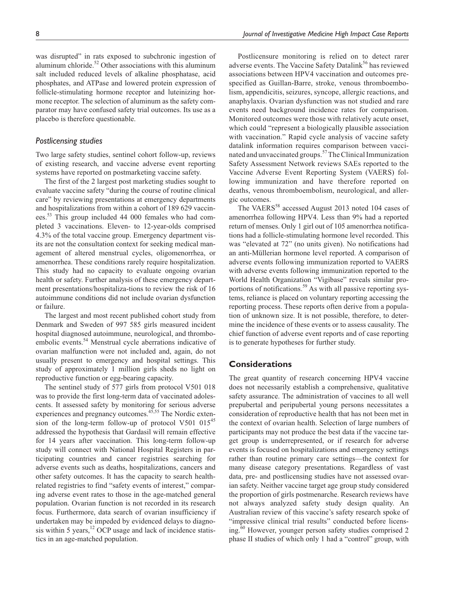was disrupted" in rats exposed to subchronic ingestion of aluminum chloride.<sup>52</sup> Other associations with this aluminum salt included reduced levels of alkaline phosphatase, acid phosphates, and ATPase and lowered protein expression of follicle-stimulating hormone receptor and luteinizing hormone receptor. The selection of aluminum as the safety comparator may have confused safety trial outcomes. Its use as a placebo is therefore questionable.

#### *Postlicensing studies*

Two large safety studies, sentinel cohort follow-up, reviews of existing research, and vaccine adverse event reporting systems have reported on postmarketing vaccine safety.

The first of the 2 largest post marketing studies sought to evaluate vaccine safety "during the course of routine clinical care" by reviewing presentations at emergency departments and hospitalizations from within a cohort of 189 629 vaccinees.<sup>53</sup> This group included 44 000 females who had completed 3 vaccinations. Eleven- to 12-year-olds comprised 4.3% of the total vaccine group. Emergency department visits are not the consultation context for seeking medical management of altered menstrual cycles, oligomenorrhea, or amenorrhea. These conditions rarely require hospitalization. This study had no capacity to evaluate ongoing ovarian health or safety. Further analysis of these emergency department presentations/hospitaliza-tions to review the risk of 16 autoimmune conditions did not include ovarian dysfunction or failure.

The largest and most recent published cohort study from Denmark and Sweden of 997 585 girls measured incident hospital diagnosed autoimmune, neurological, and thromboembolic events.<sup>54</sup> Menstrual cycle aberrations indicative of ovarian malfunction were not included and, again, do not usually present to emergency and hospital settings. This study of approximately 1 million girls sheds no light on reproductive function or egg-bearing capacity.

The sentinel study of 577 girls from protocol V501 018 was to provide the first long-term data of vaccinated adolescents. It assessed safety by monitoring for serious adverse experiences and pregnancy outcomes.<sup>45,55</sup> The Nordic extension of the long-term follow-up of protocol V501 015 $45$ addressed the hypothesis that Gardasil will remain effective for 14 years after vaccination. This long-term follow-up study will connect with National Hospital Registers in participating countries and cancer registries searching for adverse events such as deaths, hospitalizations, cancers and other safety outcomes. It has the capacity to search healthrelated registries to find "safety events of interest," comparing adverse event rates to those in the age-matched general population. Ovarian function is not recorded in its research focus. Furthermore, data search of ovarian insufficiency if undertaken may be impeded by evidenced delays to diagnosis within 5 years, $12$  OCP usage and lack of incidence statistics in an age-matched population.

Postlicensure monitoring is relied on to detect rarer adverse events. The Vaccine Safety Datalink<sup>56</sup> has reviewed associations between HPV4 vaccination and outcomes prespecified as Guillan-Barre, stroke, venous thromboembolism, appendicitis, seizures, syncope, allergic reactions, and anaphylaxis. Ovarian dysfunction was not studied and rare events need background incidence rates for comparison. Monitored outcomes were those with relatively acute onset, which could "represent a biologically plausible association with vaccination." Rapid cycle analysis of vaccine safety datalink information requires comparison between vaccinated and unvaccinated groups.57 The Clinical Immunization Safety Assessment Network reviews SAEs reported to the Vaccine Adverse Event Reporting System (VAERS) following immunization and have therefore reported on deaths, venous thromboembolism, neurological, and allergic outcomes.

The VAERS<sup>58</sup> accessed August 2013 noted 104 cases of amenorrhea following HPV4. Less than 9% had a reported return of menses. Only 1 girl out of 105 amenorrhea notifications had a follicle-stimulating hormone level recorded. This was "elevated at 72" (no units given). No notifications had an anti-Müllerian hormone level reported. A comparison of adverse events following immunization reported to VAERS with adverse events following immunization reported to the World Health Organization "Vigibase" reveals similar proportions of notifications.<sup>59</sup> As with all passive reporting systems, reliance is placed on voluntary reporting accessing the reporting process. These reports often derive from a population of unknown size. It is not possible, therefore, to determine the incidence of these events or to assess causality. The chief function of adverse event reports and of case reporting is to generate hypotheses for further study.

# **Considerations**

The great quantity of research concerning HPV4 vaccine does not necessarily establish a comprehensive, qualitative safety assurance. The administration of vaccines to all well prepubertal and peripubertal young persons necessitates a consideration of reproductive health that has not been met in the context of ovarian health. Selection of large numbers of participants may not produce the best data if the vaccine target group is underrepresented, or if research for adverse events is focused on hospitalizations and emergency settings rather than routine primary care settings—the context for many disease category presentations. Regardless of vast data, pre- and postlicensing studies have not assessed ovarian safety. Neither vaccine target age group study considered the proportion of girls postmenarche. Research reviews have not always analyzed safety study design quality. An Australian review of this vaccine's safety research spoke of "impressive clinical trial results" conducted before licensing.<sup>60</sup> However, younger person safety studies comprised 2 phase II studies of which only 1 had a "control" group, with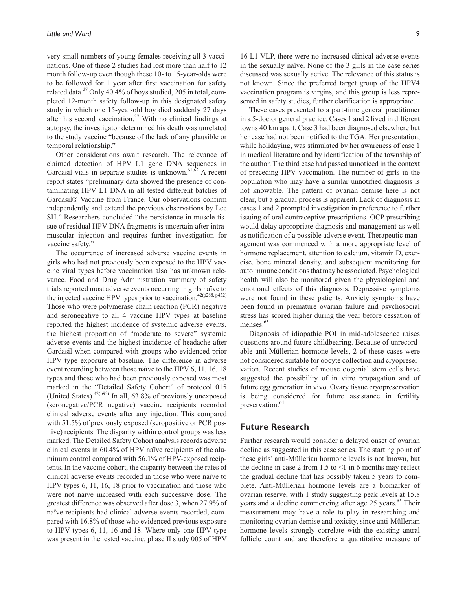very small numbers of young females receiving all 3 vaccinations. One of these 2 studies had lost more than half to 12 month follow-up even though these 10- to 15-year-olds were to be followed for 1 year after first vaccination for safety related data.<sup>37</sup> Only 40.4% of boys studied, 205 in total, completed 12-month safety follow-up in this designated safety study in which one 15-year-old boy died suddenly 27 days after his second vaccination. $37$  With no clinical findings at autopsy, the investigator determined his death was unrelated to the study vaccine "because of the lack of any plausible or temporal relationship."

Other considerations await research. The relevance of claimed detection of HPV L1 gene DNA sequences in Gardasil vials in separate studies is unknown.<sup>61,62</sup> A recent report states "preliminary data showed the presence of contaminating HPV L1 DNA in all tested different batches of Gardasil® Vaccine from France. Our observations confirm independently and extend the previous observations by Lee SH." Researchers concluded "the persistence in muscle tissue of residual HPV DNA fragments is uncertain after intramuscular injection and requires further investigation for vaccine safety."

The occurrence of increased adverse vaccine events in girls who had not previously been exposed to the HPV vaccine viral types before vaccination also has unknown relevance. Food and Drug Administration summary of safety trials reported most adverse events occurring in girls naïve to the injected vaccine HPV types prior to vaccination.<sup>42(p288, p432)</sup> Those who were polymerase chain reaction (PCR) negative and seronegative to all 4 vaccine HPV types at baseline reported the highest incidence of systemic adverse events, the highest proportion of "moderate to severe" systemic adverse events and the highest incidence of headache after Gardasil when compared with groups who evidenced prior HPV type exposure at baseline. The difference in adverse event recording between those naïve to the HPV 6, 11, 16, 18 types and those who had been previously exposed was most marked in the "Detailed Safety Cohort" of protocol 015 (United States). $42(p93)$  In all, 63.8% of previously unexposed (seronegative/PCR negative) vaccine recipients recorded clinical adverse events after any injection. This compared with 51.5% of previously exposed (seropositive or PCR positive) recipients. The disparity within control groups was less marked. The Detailed Safety Cohort analysis records adverse clinical events in 60.4% of HPV naïve recipients of the aluminum control compared with 56.1% of HPV-exposed recipients. In the vaccine cohort, the disparity between the rates of clinical adverse events recorded in those who were naïve to HPV types 6, 11, 16, 18 prior to vaccination and those who were not naïve increased with each successive dose. The greatest difference was observed after dose 3, when 27.9% of naïve recipients had clinical adverse events recorded, compared with 16.8% of those who evidenced previous exposure to HPV types 6, 11, 16 and 18. Where only one HPV type was present in the tested vaccine, phase II study 005 of HPV

16 L1 VLP, there were no increased clinical adverse events in the sexually naïve. None of the 3 girls in the case series discussed was sexually active. The relevance of this status is not known. Since the preferred target group of the HPV4 vaccination program is virgins, and this group is less represented in safety studies, further clarification is appropriate.

These cases presented to a part-time general practitioner in a 5-doctor general practice. Cases 1 and 2 lived in different towns 40 km apart. Case 3 had been diagnosed elsewhere but her case had not been notified to the TGA. Her presentation, while holidaying, was stimulated by her awareness of case 1 in medical literature and by identification of the township of the author. The third case had passed unnoticed in the context of preceding HPV vaccination. The number of girls in the population who may have a similar unnotified diagnosis is not knowable. The pattern of ovarian demise here is not clear, but a gradual process is apparent. Lack of diagnosis in cases 1 and 2 prompted investigation in preference to further issuing of oral contraceptive prescriptions. OCP prescribing would delay appropriate diagnosis and management as well as notification of a possible adverse event. Therapeutic management was commenced with a more appropriate level of hormone replacement, attention to calcium, vitamin D, exercise, bone mineral density, and subsequent monitoring for autoimmune conditions that may be associated. Psychological health will also be monitored given the physiological and emotional effects of this diagnosis. Depressive symptoms were not found in these patients. Anxiety symptoms have been found in premature ovarian failure and psychosocial stress has scored higher during the year before cessation of menses.<sup>63</sup>

Diagnosis of idiopathic POI in mid-adolescence raises questions around future childbearing. Because of unrecordable anti-Müllerian hormone levels, 2 of these cases were not considered suitable for oocyte collection and cryopreservation. Recent studies of mouse oogonial stem cells have suggested the possibility of in vitro propagation and of future egg generation in vivo. Ovary tissue cryopreservation is being considered for future assistance in fertility preservation.<sup>64</sup>

# **Future Research**

Further research would consider a delayed onset of ovarian decline as suggested in this case series. The starting point of these girls' anti-Müllerian hormone levels is not known, but the decline in case 2 from 1.5 to  $\leq$  1 in 6 months may reflect the gradual decline that has possibly taken 5 years to complete. Anti-Müllerian hormone levels are a biomarker of ovarian reserve, with 1 study suggesting peak levels at 15.8 years and a decline commencing after age 25 years.<sup>65</sup> Their measurement may have a role to play in researching and monitoring ovarian demise and toxicity, since anti-Müllerian hormone levels strongly correlate with the existing antral follicle count and are therefore a quantitative measure of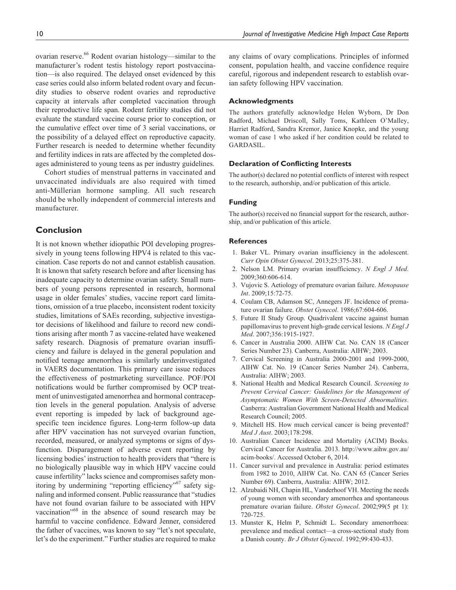ovarian reserve.66 Rodent ovarian histology—similar to the manufacturer's rodent testis histology report postvaccination—is also required. The delayed onset evidenced by this case series could also inform belated rodent ovary and fecundity studies to observe rodent ovaries and reproductive capacity at intervals after completed vaccination through their reproductive life span. Rodent fertility studies did not evaluate the standard vaccine course prior to conception, or the cumulative effect over time of 3 serial vaccinations, or the possibility of a delayed effect on reproductive capacity. Further research is needed to determine whether fecundity and fertility indices in rats are affected by the completed dosages administered to young teens as per industry guidelines.

Cohort studies of menstrual patterns in vaccinated and unvaccinated individuals are also required with timed anti-Müllerian hormone sampling. All such research should be wholly independent of commercial interests and manufacturer.

## **Conclusion**

It is not known whether idiopathic POI developing progressively in young teens following HPV4 is related to this vaccination. Case reports do not and cannot establish causation. It is known that safety research before and after licensing has inadequate capacity to determine ovarian safety. Small numbers of young persons represented in research, hormonal usage in older females' studies, vaccine report card limitations, omission of a true placebo, inconsistent rodent toxicity studies, limitations of SAEs recording, subjective investigator decisions of likelihood and failure to record new conditions arising after month 7 as vaccine-related have weakened safety research. Diagnosis of premature ovarian insufficiency and failure is delayed in the general population and notified teenage amenorrhea is similarly underinvestigated in VAERS documentation. This primary care issue reduces the effectiveness of postmarketing surveillance. POF/POI notifications would be further compromised by OCP treatment of uninvestigated amenorrhea and hormonal contraception levels in the general population. Analysis of adverse event reporting is impeded by lack of background agespecific teen incidence figures. Long-term follow-up data after HPV vaccination has not surveyed ovarian function, recorded, measured, or analyzed symptoms or signs of dysfunction. Disparagement of adverse event reporting by licensing bodies' instruction to health providers that "there is no biologically plausible way in which HPV vaccine could cause infertility" lacks science and compromises safety monitoring by undermining "reporting efficiency"<sup>67</sup> safety signaling and informed consent. Public reassurance that "studies have not found ovarian failure to be associated with HPV vaccination"<sup>68</sup> in the absence of sound research may be harmful to vaccine confidence. Edward Jenner, considered the father of vaccines, was known to say "let's not speculate, let's do the experiment." Further studies are required to make

any claims of ovary complications. Principles of informed consent, population health, and vaccine confidence require careful, rigorous and independent research to establish ovarian safety following HPV vaccination.

#### **Acknowledgments**

The authors gratefully acknowledge Helen Wyborn, Dr Don Radford, Michael Driscoll, Sally Toms, Kathleen O'Malley, Harriet Radford, Sandra Kremor, Janice Knopke, and the young woman of case 1 who asked if her condition could be related to GARDASIL.

#### **Declaration of Conflicting Interests**

The author(s) declared no potential conflicts of interest with respect to the research, authorship, and/or publication of this article.

#### **Funding**

The author(s) received no financial support for the research, authorship, and/or publication of this article.

#### **References**

- 1. Baker VL. Primary ovarian insufficiency in the adolescent. *Curr Opin Obstet Gynecol*. 2013;25:375-381.
- 2. Nelson LM. Primary ovarian insufficiency. *N Engl J Med*. 2009;360:606-614.
- 3. Vujovic S. Aetiology of premature ovarian failure. *Menopause Int*. 2009;15:72-75.
- 4. Coulam CB, Adamson SC, Annegers JF. Incidence of premature ovarian failure. *Obstet Gynecol*. 1986;67:604-606.
- 5. Future II Study Group. Quadrivalent vaccine against human papillomavirus to prevent high-grade cervical lesions. *N Engl J Med*. 2007;356:1915-1927.
- 6. Cancer in Australia 2000. AIHW Cat. No. CAN 18 (Cancer Series Number 23). Canberra, Australia: AIHW; 2003.
- 7. Cervical Screening in Australia 2000-2001 and 1999-2000, AIHW Cat. No. 19 (Cancer Series Number 24). Canberra, Australia: AIHW; 2003.
- 8. National Health and Medical Research Council. *Screening to Prevent Cervical Cancer: Guidelines for the Management of Asymptomatic Women With Screen-Detected Abnormalities*. Canberra: Australian Government National Health and Medical Research Council; 2005.
- 9. Mitchell HS. How much cervical cancer is being prevented? *Med J Aust*. 2003;178:298.
- 10. Australian Cancer Incidence and Mortality (ACIM) Books. Cervical Cancer for Australia. 2013. [http://www.aihw.gov.au/](http://www.aihw.gov.au/acim-books/) [acim-books/.](http://www.aihw.gov.au/acim-books/) Accessed October 6, 2014.
- 11. Cancer survival and prevalence in Australia: period estimates from 1982 to 2010, AIHW Cat. No. CAN 65 (Cancer Series Number 69). Canberra, Australia: AIHW; 2012.
- 12. Alzubaidi NH, Chapin HL, Vanderhoof VH. Meeting the needs of young women with secondary amenorrhea and spontaneous premature ovarian failure. *Obstet Gynecol*. 2002;99(5 pt 1): 720-725.
- 13. Munster K, Helm P, Schmidt L. Secondary amenorrhoea: prevalence and medical contact—a cross-sectional study from a Danish county. *Br J Obstet Gynecol*. 1992;99:430-433.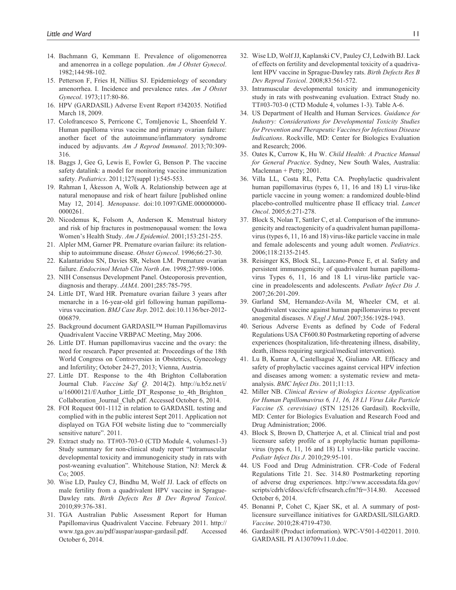- 14. Bachmann G, Kemmann E. Prevalence of oligomenorrea and amenorrea in a college population. *Am J Obstet Gynecol*. 1982;144:98-102.
- 15. Petterson F, Fries H, Nillius SJ. Epidemiology of secondary amenorrhea. I. Incidence and prevalence rates. *Am J Obstet Gynecol*. 1973;117:80-86.
- 16. HPV (GARDASIL) Adverse Event Report #342035. Notified March 18, 2009.
- 17. Colofrancesco S, Perricone C, Tomljenovic L, Shoenfeld Y. Human papilloma virus vaccine and primary ovarian failure: another facet of the autoimmune/inflammatory syndrome induced by adjuvants. *Am J Reprod Immunol*. 2013;70:309- 316.
- 18. Baggs J, Gee G, Lewis E, Fowler G, Benson P. The vaccine safety datalink: a model for monitoring vaccine immunization safety. *Pediatrics*. 2011;127(suppl 1):545-553.
- 19. Rahman I, Åkesson A, Wolk A. Relationship between age at natural menopause and risk of heart failure [published online May 12, 2014]. *Menopause*. doi:10.1097/GME.000000000- 0000261.
- 20. Nicodemus K, Folsom A, Anderson K. Menstrual history and risk of hip fractures in postmenopausal women: the Iowa Women's Health Study. *Am J Epidemiol*. 2001;153:251-255.
- 21. Alpler MM, Garner PR. Premature ovarian failure: its relationship to autoimmune disease. *Obstet Gynecol*. 1996;66:27-30.
- 22. Kalantaridou SN, Davies SR, Nelson LM. Premature ovarian failure. *Endocrinol Metab Clin North Am*. 1998;27:989-1006.
- 23. NIH Consensus Development Panel. Osteoporosis prevention, diagnosis and therapy. *JAMA*. 2001;285:785-795.
- 24. Little DT, Ward HR. Premature ovarian failure 3 years after menarche in a 16-year-old girl following human papillomavirus vaccination. *BMJ Case Rep*. 2012. doi:10.1136/bcr-2012- 006879.
- 25. Background document GARDASIL™ Human Papillomavirus Quadrivalent Vaccine VRBPAC Meeting, May 2006.
- 26. Little DT. Human papillomavirus vaccine and the ovary: the need for research. Paper presented at: Proceedings of the 18th World Congress on Controversies in Obstetrics, Gynecology and Infertility; October 24-27, 2013; Vienna, Austria.
- 27. Little DT. Response to the 4th Brighton Collaboration Journal Club. *Vaccine Saf Q*. 2014(2). [http://u.b5z.net/i/](http://u.b5z.net/i/u/16000121/f/Author_Little_DT_Response_to_4th_Brighton_Collaboration_Journal_Club.pdf) [u/16000121/f/Author\\_Little\\_DT\\_Response\\_to\\_4th\\_Brighton\\_](http://u.b5z.net/i/u/16000121/f/Author_Little_DT_Response_to_4th_Brighton_Collaboration_Journal_Club.pdf) [Collaboration\\_Journal\\_Club.pdf.](http://u.b5z.net/i/u/16000121/f/Author_Little_DT_Response_to_4th_Brighton_Collaboration_Journal_Club.pdf) Accessed October 6, 2014.
- 28. FOI Request 001-1112 in relation to GARDASIL testing and complied with in the public interest Sept 2011. Application not displayed on TGA FOI website listing due to "commercially sensitive nature". 2011.
- 29. Extract study no. TT#03-703-0 (CTD Module 4, volumes1-3) Study summary for non-clinical study report "Intramuscular developmental toxicity and immunogenicity study in rats with post-weaning evaluation". Whitehouse Station, NJ: Merck & Co; 2005.
- 30. Wise LD, Pauley CJ, Bindhu M, Wolf JJ. Lack of effects on male fertility from a quadrivalent HPV vaccine in Sprague-Dawley rats. *Birth Defects Res B Dev Reprod Toxicol*. 2010;89:376-381.
- 31. TGA Australian Public Assessment Report for Human Papillomavirus Quadrivalent Vaccine. February 2011. [http://](http://www.tga.gov.au/pdf/auspar/auspar-gardasil.pdf) [www.tga.gov.au/pdf/auspar/auspar-gardasil.pdf](http://www.tga.gov.au/pdf/auspar/auspar-gardasil.pdf). Accessed October 6, 2014.
- 32. Wise LD, Wolf JJ, Kaplanski CV, Pauley CJ, Ledwith BJ. Lack of effects on fertility and developmental toxicity of a quadrivalent HPV vaccine in Sprague-Dawley rats. *Birth Defects Res B Dev Reprod Toxicol*. 2008;83:561-572.
- 33. Intramuscular developmental toxicity and immunogenicity study in rats with postweaning evaluation. Extract Study no. TT#03-703-0 (CTD Module 4, volumes 1-3). Table A-6.
- 34. US Department of Health and Human Services. *Guidance for Industry: Considerations for Developmental Toxicity Studies for Prevention and Therapeutic Vaccines for Infectious Disease Indications*. Rockville, MD: Center for Biologics Evaluation and Research; 2006.
- 35. Oates K, Currow K, Hu W. *Child Health: A Practice Manual for General Practice*. Sydney, New South Wales, Australia: Maclennan + Petty; 2001.
- 36. Villa LL, Costa RL, Petta CA. Prophylactic quadrivalent human papillomavirus (types 6, 11, 16 and 18) L1 virus-like particle vaccine in young women: a randomized double-blind placebo-controlled multicentre phase II efficacy trial. *Lancet Oncol*. 2005;6:271-278.
- 37. Block S, Nolan T, Sattler C, et al. Comparison of the immunogenicity and reactogenicity of a quadrivalent human papillomavirus (types 6, 11, 16 and 18) virus-like particle vaccine in male and female adolescents and young adult women. *Pediatrics*. 2006;118:2135-2145.
- 38. Reisinger KS, Block SL, Lazcano-Ponce E, et al. Safety and persistent immunogenicity of quadrivalent human papillomavirus Types 6, 11, 16 and 18 L1 virus-like particle vaccine in preadolescents and adolescents. *Pediatr Infect Dis J*. 2007;26:201-209.
- 39. Garland SM, Hernandez-Avila M, Wheeler CM, et al. Quadrivalent vaccine against human papillomavirus to prevent anogenital diseases. *N Engl J Med*. 2007;356:1928-1943.
- 40. Serious Adverse Events as defined by Code of Federal Regulations USA CF600.80 Postmarketing reporting of adverse experiences (hospitalization, life-threatening illness, disability, death, illness requiring surgical/medical intervention).
- 41. Lu B, Kumar A, Castellsagué X, Giuliano AR. Efficacy and safety of prophylactic vaccines against cervical HPV infection and diseases among women: a systematic review and metaanalysis. *BMC Infect Dis*. 2011;11:13.
- 42. Miller NB. *Clinical Review of Biologics License Application for Human Papillomavirus 6, 11, 16, 18 L1 Virus Like Particle Vaccine (S. cerevisiae)* (STN 125126 Gardasil). Rockville, MD: Center for Biologics Evaluation and Research Food and Drug Administration; 2006.
- 43. Block S, Brown D, Chatterjee A, et al. Clinical trial and post licensure safety profile of a prophylactic human papillomavirus (types 6, 11, 16 and 18) L1 virus-like particle vaccine. *Pediatr Infect Dis J*. 2010;29:95-101.
- 44. US Food and Drug Administration. CFR–Code of Federal Regulations Title 21. Sec. 314.80 Postmarketing reporting of adverse drug experiences. [http://www.accessdata.fda.gov/](http://www.accessdata.fda.gov/scripts/cdrh/cfdocs/cfcfr/cfrsearch.cfm?fr=314.80) [scripts/cdrh/cfdocs/cfcfr/cfrsearch.cfm?fr=314.80.](http://www.accessdata.fda.gov/scripts/cdrh/cfdocs/cfcfr/cfrsearch.cfm?fr=314.80) Accessed October 6, 2014.
- 45. Bonanni P, Cohet C, Kjaer SK, et al. A summary of postlicensure surveillance initiatives for GARDASIL/SILGARD. *Vaccine*. 2010;28:4719-4730.
- 46. Gardasil® (Product information). WPC-V501-I-022011. 2010. GARDASIL PI A130709v11.0.doc.